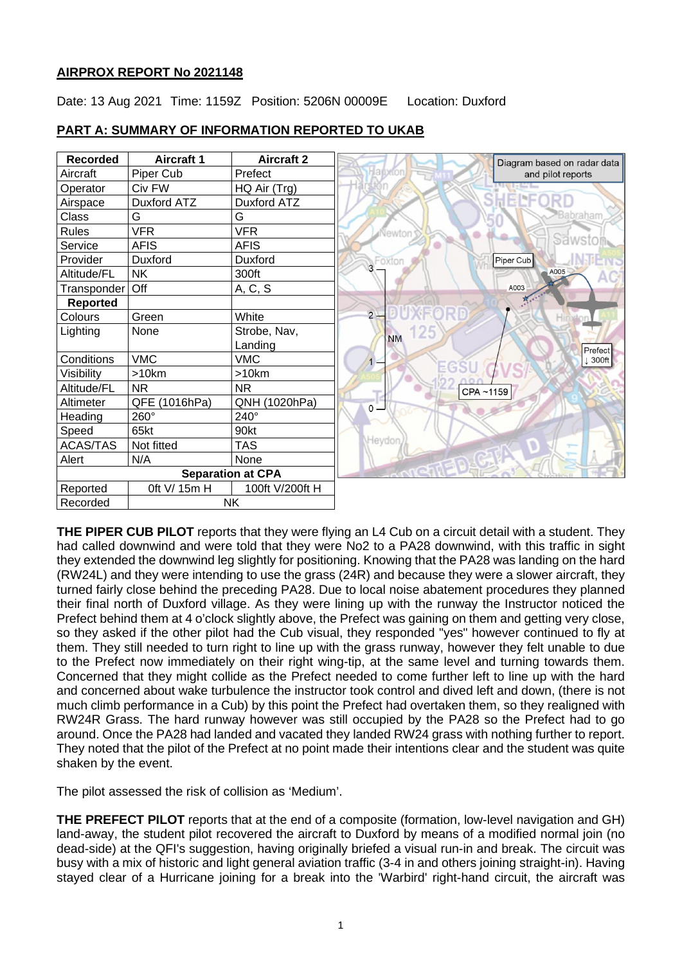# **AIRPROX REPORT No 2021148**

Date: 13 Aug 2021 Time: 1159Z Position: 5206N 00009E Location: Duxford



### **PART A: SUMMARY OF INFORMATION REPORTED TO UKAB**

**THE PIPER CUB PILOT** reports that they were flying an L4 Cub on a circuit detail with a student. They had called downwind and were told that they were No2 to a PA28 downwind, with this traffic in sight they extended the downwind leg slightly for positioning. Knowing that the PA28 was landing on the hard (RW24L) and they were intending to use the grass (24R) and because they were a slower aircraft, they turned fairly close behind the preceding PA28. Due to local noise abatement procedures they planned their final north of Duxford village. As they were lining up with the runway the Instructor noticed the Prefect behind them at 4 o'clock slightly above, the Prefect was gaining on them and getting very close, so they asked if the other pilot had the Cub visual, they responded "yes" however continued to fly at them. They still needed to turn right to line up with the grass runway, however they felt unable to due to the Prefect now immediately on their right wing-tip, at the same level and turning towards them. Concerned that they might collide as the Prefect needed to come further left to line up with the hard and concerned about wake turbulence the instructor took control and dived left and down, (there is not much climb performance in a Cub) by this point the Prefect had overtaken them, so they realigned with RW24R Grass. The hard runway however was still occupied by the PA28 so the Prefect had to go around. Once the PA28 had landed and vacated they landed RW24 grass with nothing further to report. They noted that the pilot of the Prefect at no point made their intentions clear and the student was quite shaken by the event.

The pilot assessed the risk of collision as 'Medium'.

**THE PREFECT PILOT** reports that at the end of a composite (formation, low-level navigation and GH) land-away, the student pilot recovered the aircraft to Duxford by means of a modified normal join (no dead-side) at the QFI's suggestion, having originally briefed a visual run-in and break. The circuit was busy with a mix of historic and light general aviation traffic (3-4 in and others joining straight-in). Having stayed clear of a Hurricane joining for a break into the 'Warbird' right-hand circuit, the aircraft was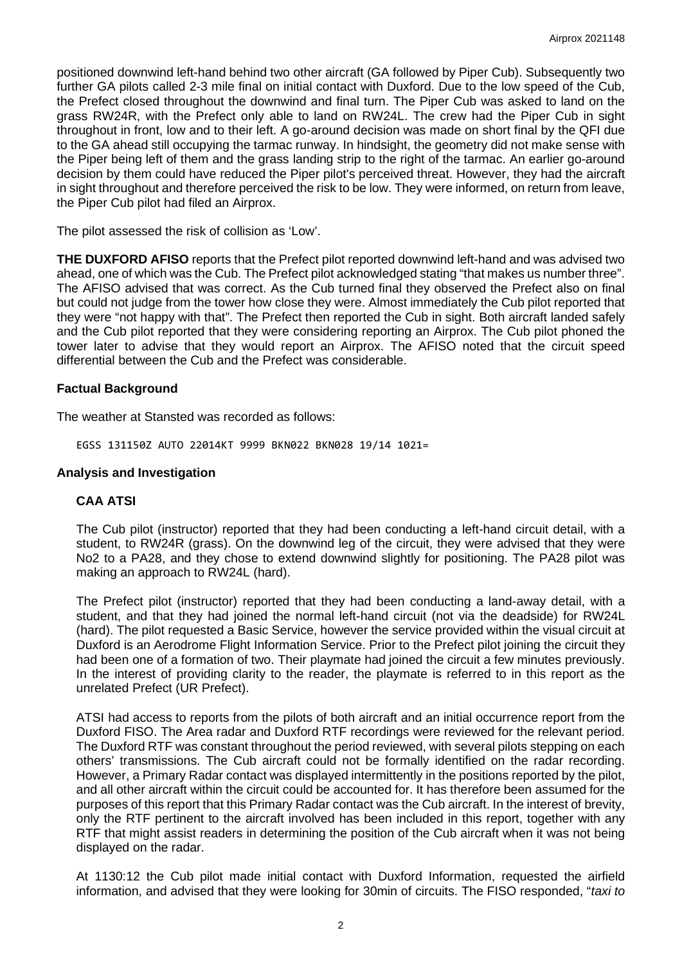positioned downwind left-hand behind two other aircraft (GA followed by Piper Cub). Subsequently two further GA pilots called 2-3 mile final on initial contact with Duxford. Due to the low speed of the Cub. the Prefect closed throughout the downwind and final turn. The Piper Cub was asked to land on the grass RW24R, with the Prefect only able to land on RW24L. The crew had the Piper Cub in sight throughout in front, low and to their left. A go-around decision was made on short final by the QFI due to the GA ahead still occupying the tarmac runway. In hindsight, the geometry did not make sense with the Piper being left of them and the grass landing strip to the right of the tarmac. An earlier go-around decision by them could have reduced the Piper pilot's perceived threat. However, they had the aircraft in sight throughout and therefore perceived the risk to be low. They were informed, on return from leave, the Piper Cub pilot had filed an Airprox.

The pilot assessed the risk of collision as 'Low'.

**THE DUXFORD AFISO** reports that the Prefect pilot reported downwind left-hand and was advised two ahead, one of which was the Cub. The Prefect pilot acknowledged stating "that makes us number three". The AFISO advised that was correct. As the Cub turned final they observed the Prefect also on final but could not judge from the tower how close they were. Almost immediately the Cub pilot reported that they were "not happy with that". The Prefect then reported the Cub in sight. Both aircraft landed safely and the Cub pilot reported that they were considering reporting an Airprox. The Cub pilot phoned the tower later to advise that they would report an Airprox. The AFISO noted that the circuit speed differential between the Cub and the Prefect was considerable.

### **Factual Background**

The weather at Stansted was recorded as follows:

EGSS 131150Z AUTO 22014KT 9999 BKN022 BKN028 19/14 1021=

### **Analysis and Investigation**

### **CAA ATSI**

The Cub pilot (instructor) reported that they had been conducting a left-hand circuit detail, with a student, to RW24R (grass). On the downwind leg of the circuit, they were advised that they were No2 to a PA28, and they chose to extend downwind slightly for positioning. The PA28 pilot was making an approach to RW24L (hard).

The Prefect pilot (instructor) reported that they had been conducting a land-away detail, with a student, and that they had joined the normal left-hand circuit (not via the deadside) for RW24L (hard). The pilot requested a Basic Service, however the service provided within the visual circuit at Duxford is an Aerodrome Flight Information Service. Prior to the Prefect pilot joining the circuit they had been one of a formation of two. Their playmate had joined the circuit a few minutes previously. In the interest of providing clarity to the reader, the playmate is referred to in this report as the unrelated Prefect (UR Prefect).

ATSI had access to reports from the pilots of both aircraft and an initial occurrence report from the Duxford FISO. The Area radar and Duxford RTF recordings were reviewed for the relevant period. The Duxford RTF was constant throughout the period reviewed, with several pilots stepping on each others' transmissions. The Cub aircraft could not be formally identified on the radar recording. However, a Primary Radar contact was displayed intermittently in the positions reported by the pilot, and all other aircraft within the circuit could be accounted for. It has therefore been assumed for the purposes of this report that this Primary Radar contact was the Cub aircraft. In the interest of brevity, only the RTF pertinent to the aircraft involved has been included in this report, together with any RTF that might assist readers in determining the position of the Cub aircraft when it was not being displayed on the radar.

At 1130:12 the Cub pilot made initial contact with Duxford Information, requested the airfield information, and advised that they were looking for 30min of circuits. The FISO responded, "*taxi to*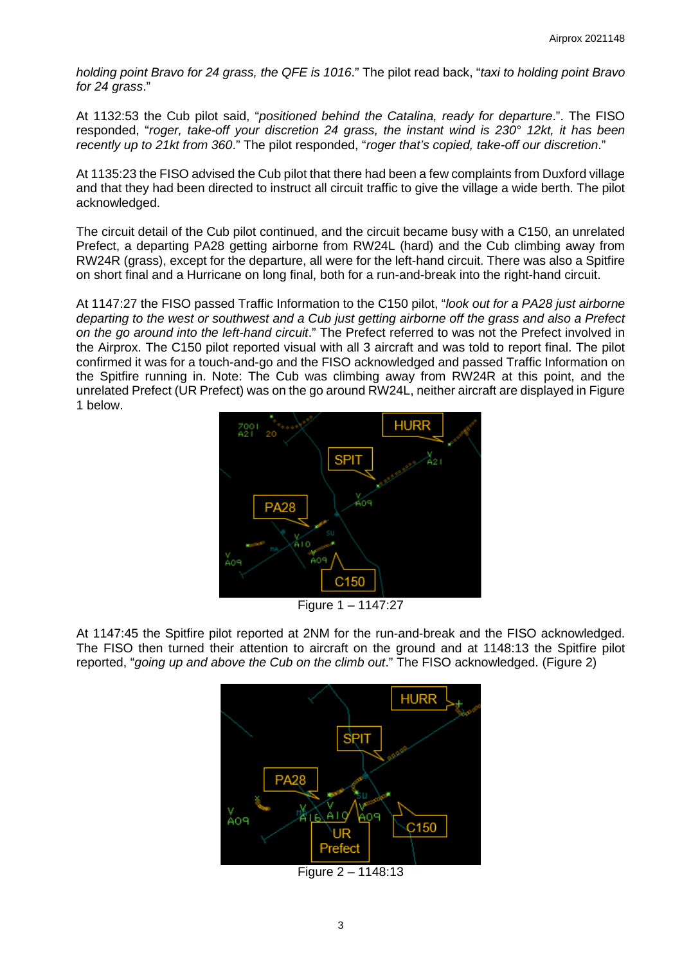*holding point Bravo for 24 grass, the QFE is 1016*." The pilot read back, "*taxi to holding point Bravo for 24 grass*."

At 1132:53 the Cub pilot said, "*positioned behind the Catalina, ready for departure*.". The FISO responded, "*roger, take-off your discretion 24 grass, the instant wind is 230° 12kt, it has been recently up to 21kt from 360*." The pilot responded, "*roger that's copied, take-off our discretion*."

At 1135:23 the FISO advised the Cub pilot that there had been a few complaints from Duxford village and that they had been directed to instruct all circuit traffic to give the village a wide berth. The pilot acknowledged.

The circuit detail of the Cub pilot continued, and the circuit became busy with a C150, an unrelated Prefect, a departing PA28 getting airborne from RW24L (hard) and the Cub climbing away from RW24R (grass), except for the departure, all were for the left-hand circuit. There was also a Spitfire on short final and a Hurricane on long final, both for a run-and-break into the right-hand circuit.

At 1147:27 the FISO passed Traffic Information to the C150 pilot, "*look out for a PA28 just airborne departing to the west or southwest and a Cub just getting airborne off the grass and also a Prefect on the go around into the left-hand circuit*." The Prefect referred to was not the Prefect involved in the Airprox. The C150 pilot reported visual with all 3 aircraft and was told to report final. The pilot confirmed it was for a touch-and-go and the FISO acknowledged and passed Traffic Information on the Spitfire running in. Note: The Cub was climbing away from RW24R at this point, and the unrelated Prefect (UR Prefect) was on the go around RW24L, neither aircraft are displayed in Figure 1 below.



Figure 1 – 1147:27

At 1147:45 the Spitfire pilot reported at 2NM for the run-and-break and the FISO acknowledged. The FISO then turned their attention to aircraft on the ground and at 1148:13 the Spitfire pilot reported, "*going up and above the Cub on the climb out*." The FISO acknowledged. (Figure 2)



Figure 2 – 1148:13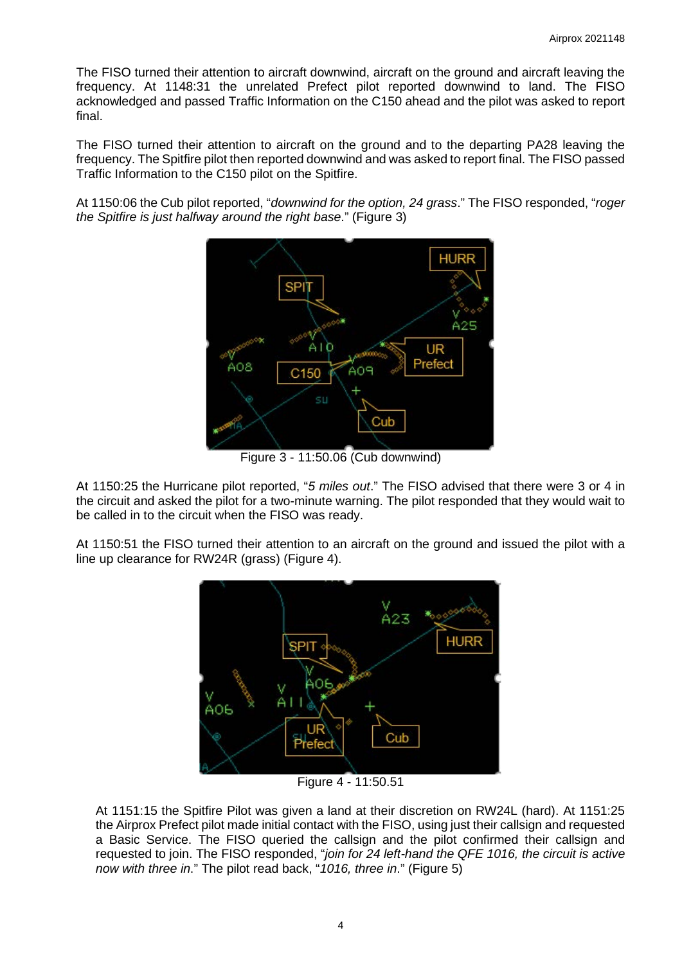The FISO turned their attention to aircraft downwind, aircraft on the ground and aircraft leaving the frequency. At 1148:31 the unrelated Prefect pilot reported downwind to land. The FISO acknowledged and passed Traffic Information on the C150 ahead and the pilot was asked to report final.

The FISO turned their attention to aircraft on the ground and to the departing PA28 leaving the frequency. The Spitfire pilot then reported downwind and was asked to report final. The FISO passed Traffic Information to the C150 pilot on the Spitfire.

At 1150:06 the Cub pilot reported, "*downwind for the option, 24 grass*." The FISO responded, "*roger the Spitfire is just halfway around the right base*." (Figure 3)



Figure 3 - 11:50.06 (Cub downwind)

At 1150:25 the Hurricane pilot reported, "*5 miles out*." The FISO advised that there were 3 or 4 in the circuit and asked the pilot for a two-minute warning. The pilot responded that they would wait to be called in to the circuit when the FISO was ready.

At 1150:51 the FISO turned their attention to an aircraft on the ground and issued the pilot with a line up clearance for RW24R (grass) (Figure 4).



Figure 4 - 11:50.51

At 1151:15 the Spitfire Pilot was given a land at their discretion on RW24L (hard). At 1151:25 the Airprox Prefect pilot made initial contact with the FISO, using just their callsign and requested a Basic Service. The FISO queried the callsign and the pilot confirmed their callsign and requested to join. The FISO responded, "*join for 24 left-hand the QFE 1016, the circuit is active now with three in*." The pilot read back, "*1016, three in*." (Figure 5)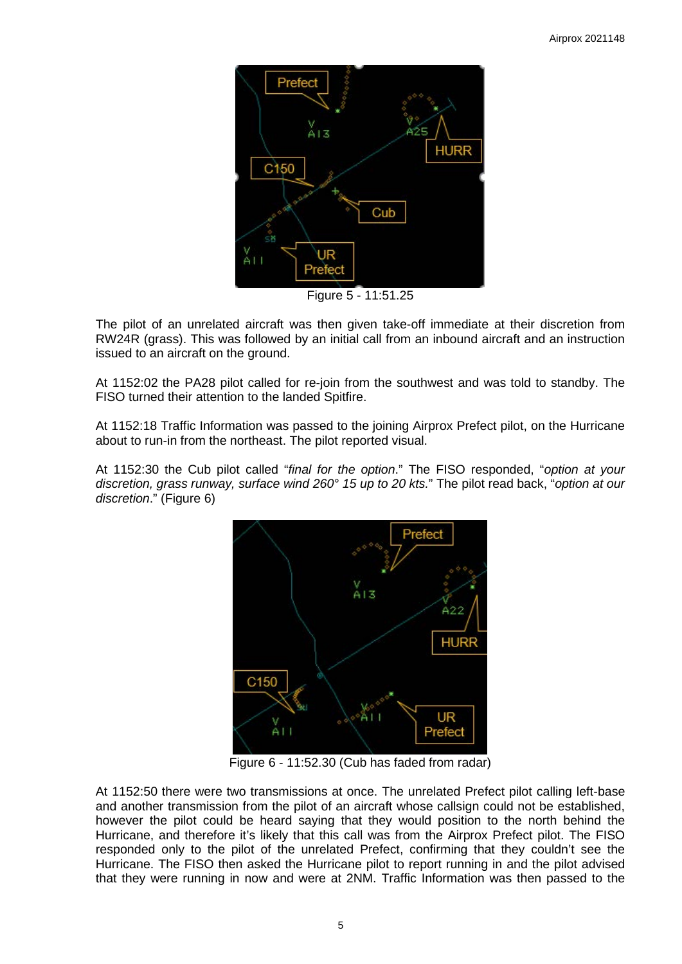

Figure 5 - 11:51.25

The pilot of an unrelated aircraft was then given take-off immediate at their discretion from RW24R (grass). This was followed by an initial call from an inbound aircraft and an instruction issued to an aircraft on the ground.

At 1152:02 the PA28 pilot called for re-join from the southwest and was told to standby. The FISO turned their attention to the landed Spitfire.

At 1152:18 Traffic Information was passed to the joining Airprox Prefect pilot, on the Hurricane about to run-in from the northeast. The pilot reported visual.

At 1152:30 the Cub pilot called "*final for the option*." The FISO responded, "*option at your discretion, grass runway, surface wind 260° 15 up to 20 kts.*" The pilot read back, "*option at our discretion*." (Figure 6)



Figure 6 - 11:52.30 (Cub has faded from radar)

At 1152:50 there were two transmissions at once. The unrelated Prefect pilot calling left-base and another transmission from the pilot of an aircraft whose callsign could not be established, however the pilot could be heard saying that they would position to the north behind the Hurricane, and therefore it's likely that this call was from the Airprox Prefect pilot. The FISO responded only to the pilot of the unrelated Prefect, confirming that they couldn't see the Hurricane. The FISO then asked the Hurricane pilot to report running in and the pilot advised that they were running in now and were at 2NM. Traffic Information was then passed to the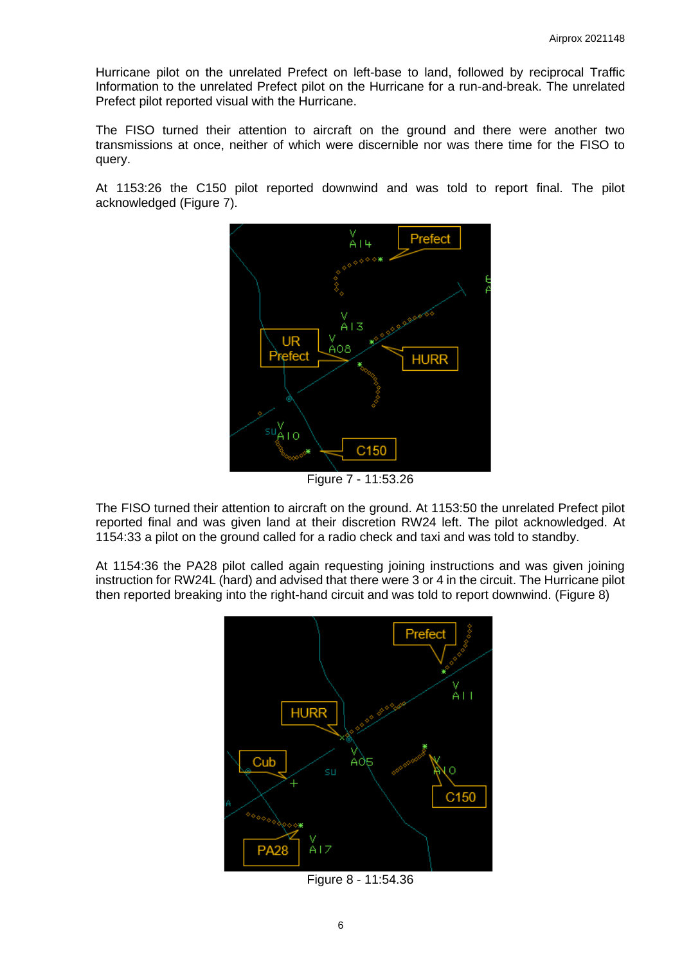Hurricane pilot on the unrelated Prefect on left-base to land, followed by reciprocal Traffic Information to the unrelated Prefect pilot on the Hurricane for a run-and-break. The unrelated Prefect pilot reported visual with the Hurricane.

The FISO turned their attention to aircraft on the ground and there were another two transmissions at once, neither of which were discernible nor was there time for the FISO to query.

At 1153:26 the C150 pilot reported downwind and was told to report final. The pilot acknowledged (Figure 7).



Figure 7 - 11:53.26

The FISO turned their attention to aircraft on the ground. At 1153:50 the unrelated Prefect pilot reported final and was given land at their discretion RW24 left. The pilot acknowledged. At 1154:33 a pilot on the ground called for a radio check and taxi and was told to standby.

At 1154:36 the PA28 pilot called again requesting joining instructions and was given joining instruction for RW24L (hard) and advised that there were 3 or 4 in the circuit. The Hurricane pilot then reported breaking into the right-hand circuit and was told to report downwind. (Figure 8)



Figure 8 - 11:54.36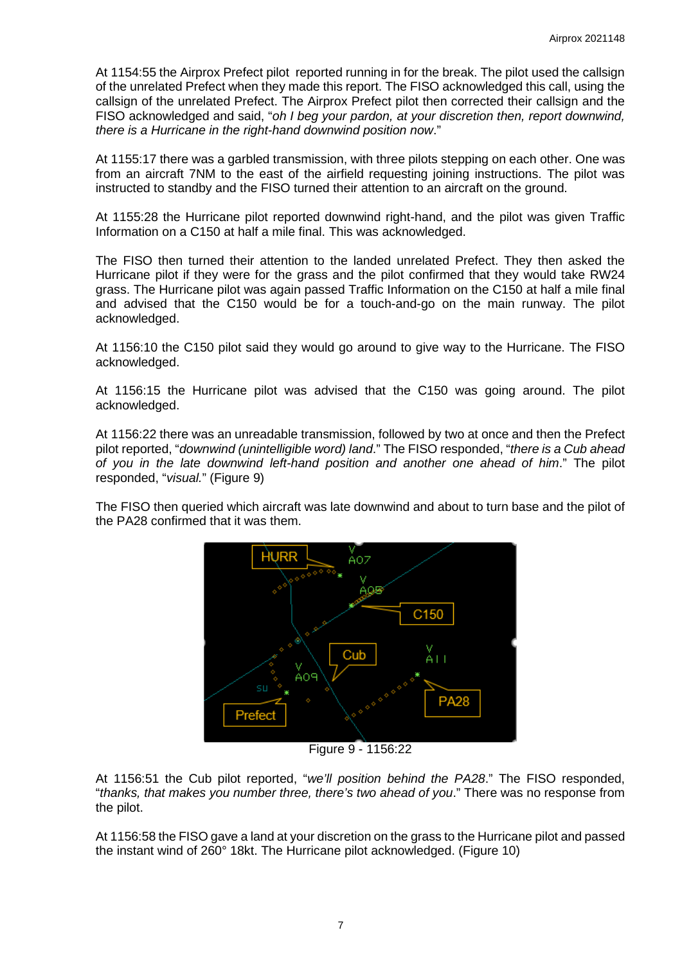At 1154:55 the Airprox Prefect pilot reported running in for the break. The pilot used the callsign of the unrelated Prefect when they made this report. The FISO acknowledged this call, using the callsign of the unrelated Prefect. The Airprox Prefect pilot then corrected their callsign and the FISO acknowledged and said, "*oh I beg your pardon, at your discretion then, report downwind, there is a Hurricane in the right-hand downwind position now*."

At 1155:17 there was a garbled transmission, with three pilots stepping on each other. One was from an aircraft 7NM to the east of the airfield requesting joining instructions. The pilot was instructed to standby and the FISO turned their attention to an aircraft on the ground.

At 1155:28 the Hurricane pilot reported downwind right-hand, and the pilot was given Traffic Information on a C150 at half a mile final. This was acknowledged.

The FISO then turned their attention to the landed unrelated Prefect. They then asked the Hurricane pilot if they were for the grass and the pilot confirmed that they would take RW24 grass. The Hurricane pilot was again passed Traffic Information on the C150 at half a mile final and advised that the C150 would be for a touch-and-go on the main runway. The pilot acknowledged.

At 1156:10 the C150 pilot said they would go around to give way to the Hurricane. The FISO acknowledged.

At 1156:15 the Hurricane pilot was advised that the C150 was going around. The pilot acknowledged.

At 1156:22 there was an unreadable transmission, followed by two at once and then the Prefect pilot reported, "*downwind (unintelligible word) land*." The FISO responded, "*there is a Cub ahead of you in the late downwind left-hand position and another one ahead of him*." The pilot responded, "*visual.*" (Figure 9)

The FISO then queried which aircraft was late downwind and about to turn base and the pilot of the PA28 confirmed that it was them.



Figure 9 - 1156:22

At 1156:51 the Cub pilot reported, "*we'll position behind the PA28*." The FISO responded, "*thanks, that makes you number three, there's two ahead of you*." There was no response from the pilot.

At 1156:58 the FISO gave a land at your discretion on the grass to the Hurricane pilot and passed the instant wind of 260° 18kt. The Hurricane pilot acknowledged. (Figure 10)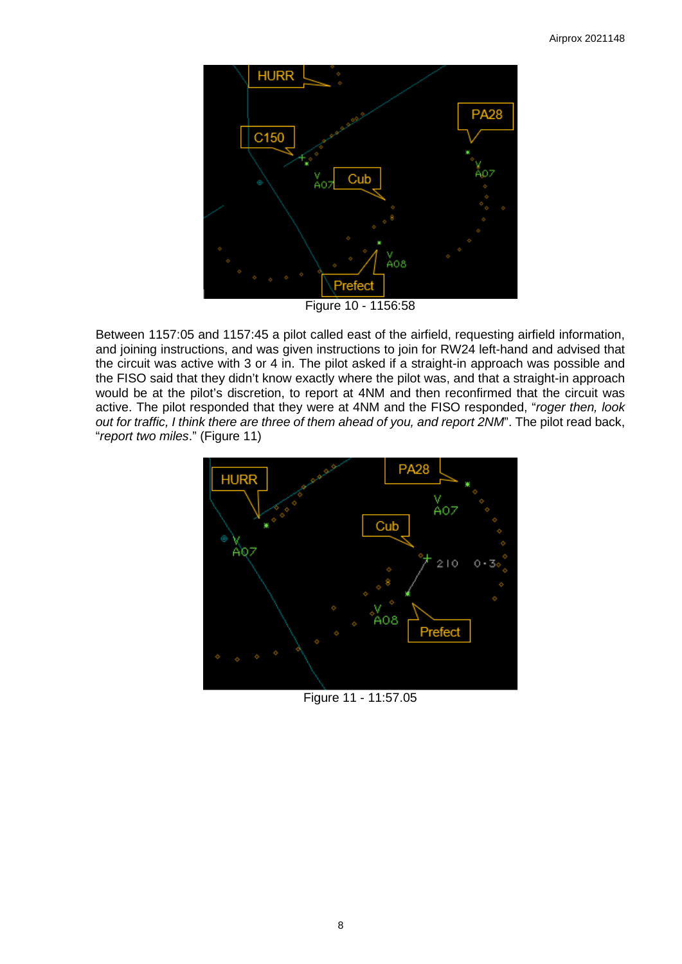

Figure 10 - 1156:58

Between 1157:05 and 1157:45 a pilot called east of the airfield, requesting airfield information, and joining instructions, and was given instructions to join for RW24 left-hand and advised that the circuit was active with 3 or 4 in. The pilot asked if a straight-in approach was possible and the FISO said that they didn't know exactly where the pilot was, and that a straight-in approach would be at the pilot's discretion, to report at 4NM and then reconfirmed that the circuit was active. The pilot responded that they were at 4NM and the FISO responded, "*roger then, look out for traffic, I think there are three of them ahead of you, and report 2NM*". The pilot read back, "*report two miles*." (Figure 11)



Figure 11 - 11:57.05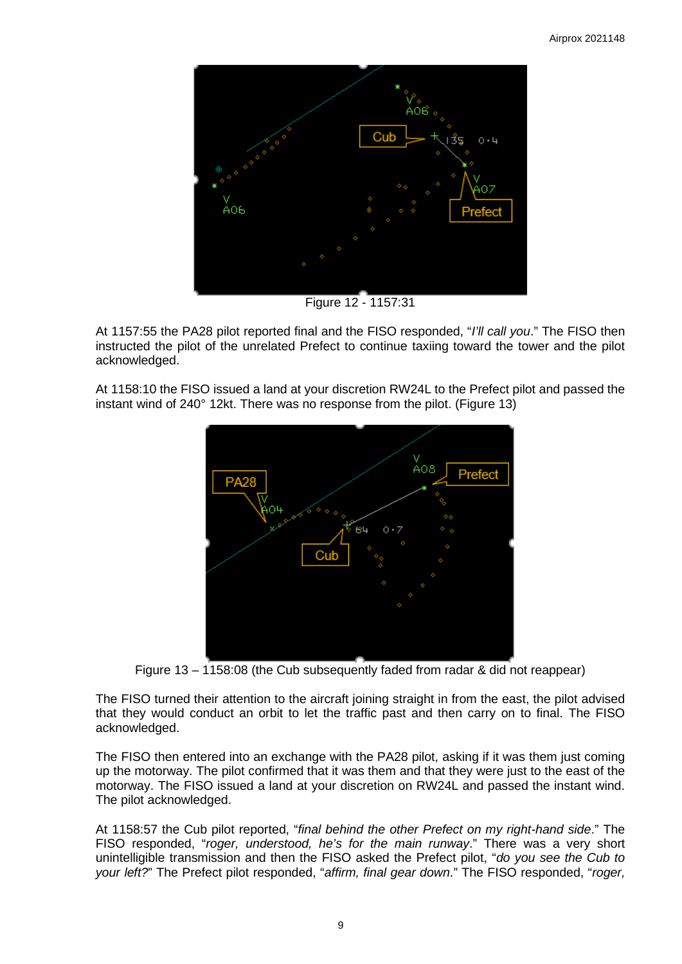

Figure 12 - 1157:31

At 1157:55 the PA28 pilot reported final and the FISO responded, "*I'll call you*." The FISO then instructed the pilot of the unrelated Prefect to continue taxiing toward the tower and the pilot acknowledged.

At 1158:10 the FISO issued a land at your discretion RW24L to the Prefect pilot and passed the instant wind of 240° 12kt. There was no response from the pilot. (Figure 13)



Figure 13 – 1158:08 (the Cub subsequently faded from radar & did not reappear)

The FISO turned their attention to the aircraft joining straight in from the east, the pilot advised that they would conduct an orbit to let the traffic past and then carry on to final. The FISO acknowledged.

The FISO then entered into an exchange with the PA28 pilot, asking if it was them just coming up the motorway. The pilot confirmed that it was them and that they were just to the east of the motorway. The FISO issued a land at your discretion on RW24L and passed the instant wind. The pilot acknowledged.

At 1158:57 the Cub pilot reported, "*final behind the other Prefect on my right-hand side*." The FISO responded, "*roger, understood, he's for the main runway*." There was a very short unintelligible transmission and then the FISO asked the Prefect pilot, "*do you see the Cub to your left?*" The Prefect pilot responded, "*affirm, final gear down*." The FISO responded, "*roger,*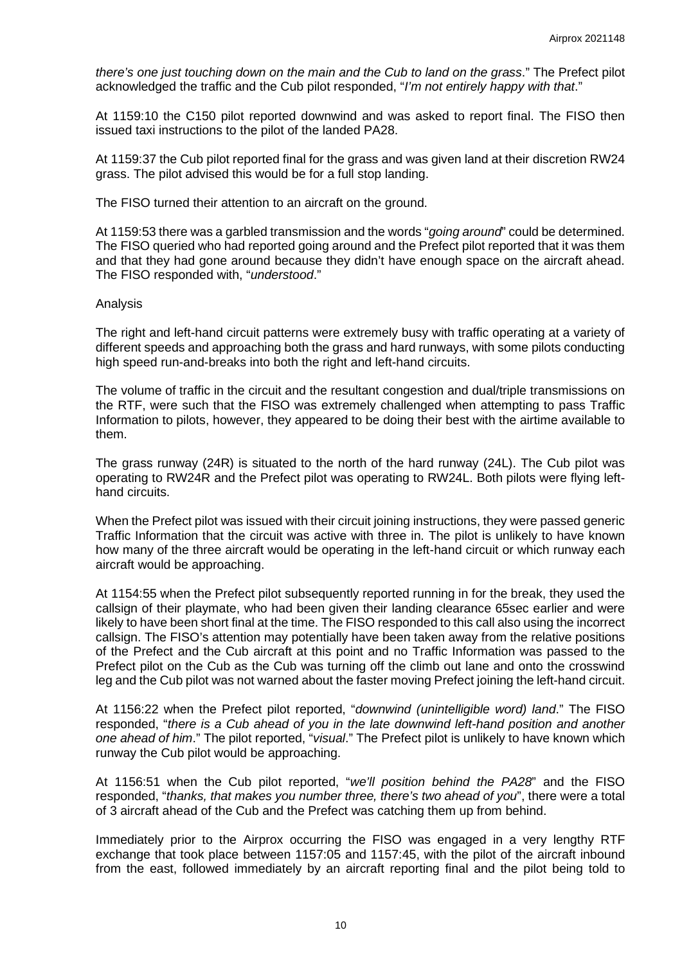*there's one just touching down on the main and the Cub to land on the grass*." The Prefect pilot acknowledged the traffic and the Cub pilot responded, "*I'm not entirely happy with that*."

At 1159:10 the C150 pilot reported downwind and was asked to report final. The FISO then issued taxi instructions to the pilot of the landed PA28.

At 1159:37 the Cub pilot reported final for the grass and was given land at their discretion RW24 grass. The pilot advised this would be for a full stop landing.

The FISO turned their attention to an aircraft on the ground.

At 1159:53 there was a garbled transmission and the words "*going around*" could be determined. The FISO queried who had reported going around and the Prefect pilot reported that it was them and that they had gone around because they didn't have enough space on the aircraft ahead. The FISO responded with, "*understood*."

### Analysis

The right and left-hand circuit patterns were extremely busy with traffic operating at a variety of different speeds and approaching both the grass and hard runways, with some pilots conducting high speed run-and-breaks into both the right and left-hand circuits.

The volume of traffic in the circuit and the resultant congestion and dual/triple transmissions on the RTF, were such that the FISO was extremely challenged when attempting to pass Traffic Information to pilots, however, they appeared to be doing their best with the airtime available to them.

The grass runway (24R) is situated to the north of the hard runway (24L). The Cub pilot was operating to RW24R and the Prefect pilot was operating to RW24L. Both pilots were flying lefthand circuits.

When the Prefect pilot was issued with their circuit joining instructions, they were passed generic Traffic Information that the circuit was active with three in. The pilot is unlikely to have known how many of the three aircraft would be operating in the left-hand circuit or which runway each aircraft would be approaching.

At 1154:55 when the Prefect pilot subsequently reported running in for the break, they used the callsign of their playmate, who had been given their landing clearance 65sec earlier and were likely to have been short final at the time. The FISO responded to this call also using the incorrect callsign. The FISO's attention may potentially have been taken away from the relative positions of the Prefect and the Cub aircraft at this point and no Traffic Information was passed to the Prefect pilot on the Cub as the Cub was turning off the climb out lane and onto the crosswind leg and the Cub pilot was not warned about the faster moving Prefect joining the left-hand circuit.

At 1156:22 when the Prefect pilot reported, "*downwind (unintelligible word) land*." The FISO responded, "*there is a Cub ahead of you in the late downwind left-hand position and another one ahead of him*." The pilot reported, "*visual*." The Prefect pilot is unlikely to have known which runway the Cub pilot would be approaching.

At 1156:51 when the Cub pilot reported, "*we'll position behind the PA28*" and the FISO responded, "*thanks, that makes you number three, there's two ahead of you*", there were a total of 3 aircraft ahead of the Cub and the Prefect was catching them up from behind.

Immediately prior to the Airprox occurring the FISO was engaged in a very lengthy RTF exchange that took place between 1157:05 and 1157:45, with the pilot of the aircraft inbound from the east, followed immediately by an aircraft reporting final and the pilot being told to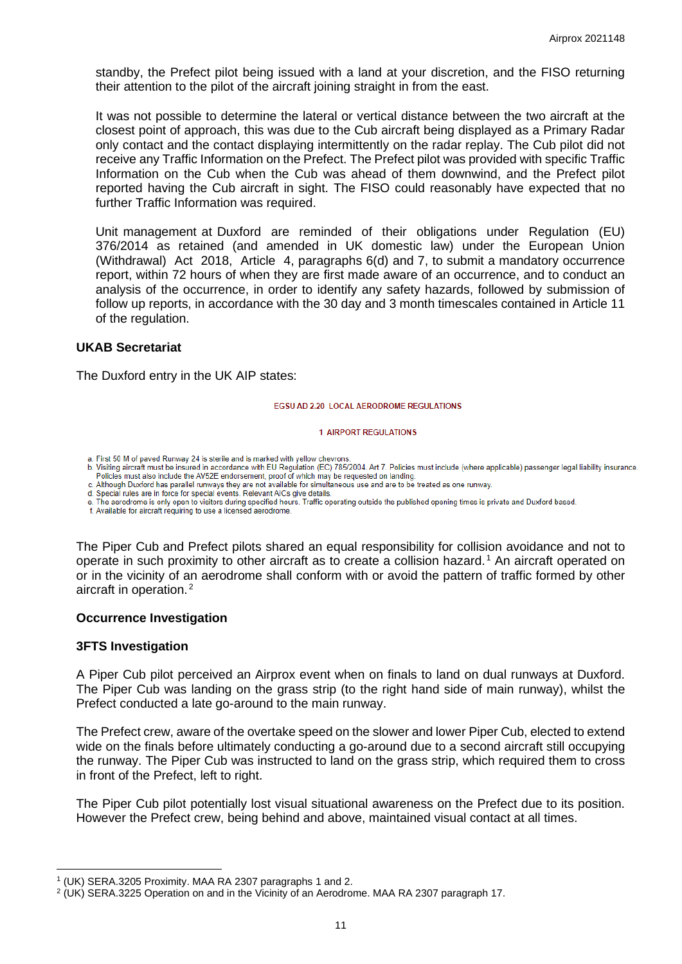standby, the Prefect pilot being issued with a land at your discretion, and the FISO returning their attention to the pilot of the aircraft joining straight in from the east.

It was not possible to determine the lateral or vertical distance between the two aircraft at the closest point of approach, this was due to the Cub aircraft being displayed as a Primary Radar only contact and the contact displaying intermittently on the radar replay. The Cub pilot did not receive any Traffic Information on the Prefect. The Prefect pilot was provided with specific Traffic Information on the Cub when the Cub was ahead of them downwind, and the Prefect pilot reported having the Cub aircraft in sight. The FISO could reasonably have expected that no further Traffic Information was required.

Unit management at Duxford are reminded of their obligations under Regulation (EU) 376/2014 as retained (and amended in UK domestic law) under the European Union (Withdrawal) Act 2018, Article 4, paragraphs 6(d) and 7, to submit a mandatory occurrence report, within 72 hours of when they are first made aware of an occurrence, and to conduct an analysis of the occurrence, in order to identify any safety hazards, followed by submission of follow up reports, in accordance with the 30 day and 3 month timescales contained in Article 11 of the regulation.

### **UKAB Secretariat**

The Duxford entry in the UK AIP states:

#### **EGSU AD 2.20 LOCAL AFRODROME REGULATIONS**

#### **1 AIRPORT REGULATIONS**

a. First 50 M of paved Runway 24 is sterile and is marked with yellow chevrons

b. Visiting aircraft must be insured in accordance with EU Regulation (EC) 785/2004. Art 7. Policies must include (where applicable) passenger legal liability insurance. Policies must also include the AV52E endorsement, proof of which may be requested on landing.

c. Although Duxford has parallel runways they are not available for simultaneous use and are to be treated as one runway.<br>d. Special rules are in force for special events. Relevant AICs give details.

e. The aerodrome is only open to visitors during specified hours. Traffic operating outside the published opening times is private and Duxford based.

f. Available for aircraft requiring to use a licensed aerodrome.

The Piper Cub and Prefect pilots shared an equal responsibility for collision avoidance and not to operate in such proximity to other aircraft as to create a collision hazard. [1](#page-10-0) An aircraft operated on or in the vicinity of an aerodrome shall conform with or avoid the pattern of traffic formed by other aircraft in operation. [2](#page-10-1)

#### **Occurrence Investigation**

### **3FTS Investigation**

A Piper Cub pilot perceived an Airprox event when on finals to land on dual runways at Duxford. The Piper Cub was landing on the grass strip (to the right hand side of main runway), whilst the Prefect conducted a late go-around to the main runway.

The Prefect crew, aware of the overtake speed on the slower and lower Piper Cub, elected to extend wide on the finals before ultimately conducting a go-around due to a second aircraft still occupying the runway. The Piper Cub was instructed to land on the grass strip, which required them to cross in front of the Prefect, left to right.

The Piper Cub pilot potentially lost visual situational awareness on the Prefect due to its position. However the Prefect crew, being behind and above, maintained visual contact at all times.

<span id="page-10-0"></span><sup>1</sup> (UK) SERA.3205 Proximity. MAA RA 2307 paragraphs 1 and 2.

<span id="page-10-1"></span> $2$  (UK) SERA.3225 Operation on and in the Vicinity of an Aerodrome. MAA RA 2307 paragraph 17.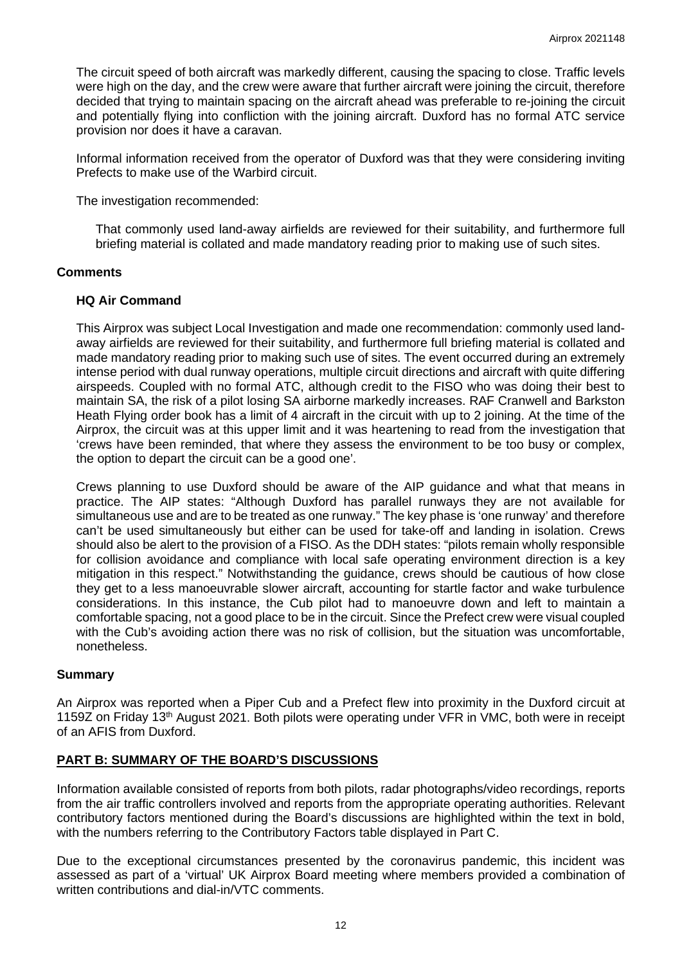The circuit speed of both aircraft was markedly different, causing the spacing to close. Traffic levels were high on the day, and the crew were aware that further aircraft were joining the circuit, therefore decided that trying to maintain spacing on the aircraft ahead was preferable to re-joining the circuit and potentially flying into confliction with the joining aircraft. Duxford has no formal ATC service provision nor does it have a caravan.

Informal information received from the operator of Duxford was that they were considering inviting Prefects to make use of the Warbird circuit.

The investigation recommended:

That commonly used land-away airfields are reviewed for their suitability, and furthermore full briefing material is collated and made mandatory reading prior to making use of such sites.

### **Comments**

# **HQ Air Command**

This Airprox was subject Local Investigation and made one recommendation: commonly used landaway airfields are reviewed for their suitability, and furthermore full briefing material is collated and made mandatory reading prior to making such use of sites. The event occurred during an extremely intense period with dual runway operations, multiple circuit directions and aircraft with quite differing airspeeds. Coupled with no formal ATC, although credit to the FISO who was doing their best to maintain SA, the risk of a pilot losing SA airborne markedly increases. RAF Cranwell and Barkston Heath Flying order book has a limit of 4 aircraft in the circuit with up to 2 joining. At the time of the Airprox, the circuit was at this upper limit and it was heartening to read from the investigation that 'crews have been reminded, that where they assess the environment to be too busy or complex, the option to depart the circuit can be a good one'.

Crews planning to use Duxford should be aware of the AIP guidance and what that means in practice. The AIP states: "Although Duxford has parallel runways they are not available for simultaneous use and are to be treated as one runway." The key phase is 'one runway' and therefore can't be used simultaneously but either can be used for take-off and landing in isolation. Crews should also be alert to the provision of a FISO. As the DDH states: "pilots remain wholly responsible for collision avoidance and compliance with local safe operating environment direction is a key mitigation in this respect." Notwithstanding the guidance, crews should be cautious of how close they get to a less manoeuvrable slower aircraft, accounting for startle factor and wake turbulence considerations. In this instance, the Cub pilot had to manoeuvre down and left to maintain a comfortable spacing, not a good place to be in the circuit. Since the Prefect crew were visual coupled with the Cub's avoiding action there was no risk of collision, but the situation was uncomfortable, nonetheless.

# **Summary**

An Airprox was reported when a Piper Cub and a Prefect flew into proximity in the Duxford circuit at 1159Z on Friday 13<sup>th</sup> August 2021. Both pilots were operating under VFR in VMC, both were in receipt of an AFIS from Duxford.

# **PART B: SUMMARY OF THE BOARD'S DISCUSSIONS**

Information available consisted of reports from both pilots, radar photographs/video recordings, reports from the air traffic controllers involved and reports from the appropriate operating authorities. Relevant contributory factors mentioned during the Board's discussions are highlighted within the text in bold, with the numbers referring to the Contributory Factors table displayed in Part C.

Due to the exceptional circumstances presented by the coronavirus pandemic, this incident was assessed as part of a 'virtual' UK Airprox Board meeting where members provided a combination of written contributions and dial-in/VTC comments.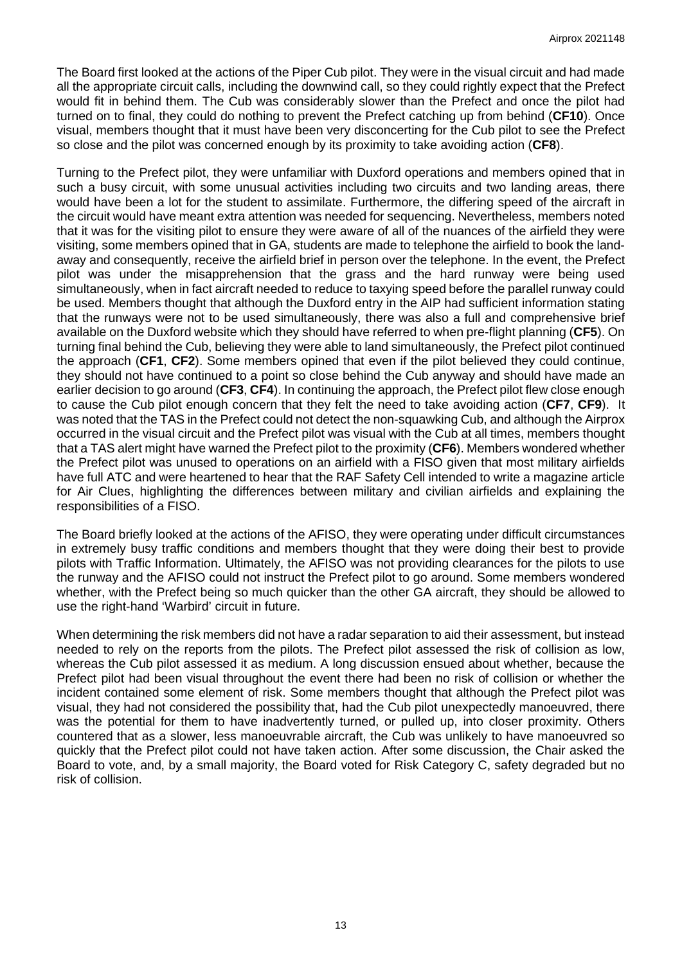The Board first looked at the actions of the Piper Cub pilot. They were in the visual circuit and had made all the appropriate circuit calls, including the downwind call, so they could rightly expect that the Prefect would fit in behind them. The Cub was considerably slower than the Prefect and once the pilot had turned on to final, they could do nothing to prevent the Prefect catching up from behind (**CF10**). Once visual, members thought that it must have been very disconcerting for the Cub pilot to see the Prefect so close and the pilot was concerned enough by its proximity to take avoiding action (**CF8**).

Turning to the Prefect pilot, they were unfamiliar with Duxford operations and members opined that in such a busy circuit, with some unusual activities including two circuits and two landing areas, there would have been a lot for the student to assimilate. Furthermore, the differing speed of the aircraft in the circuit would have meant extra attention was needed for sequencing. Nevertheless, members noted that it was for the visiting pilot to ensure they were aware of all of the nuances of the airfield they were visiting, some members opined that in GA, students are made to telephone the airfield to book the landaway and consequently, receive the airfield brief in person over the telephone. In the event, the Prefect pilot was under the misapprehension that the grass and the hard runway were being used simultaneously, when in fact aircraft needed to reduce to taxying speed before the parallel runway could be used. Members thought that although the Duxford entry in the AIP had sufficient information stating that the runways were not to be used simultaneously, there was also a full and comprehensive brief available on the Duxford website which they should have referred to when pre-flight planning (**CF5**). On turning final behind the Cub, believing they were able to land simultaneously, the Prefect pilot continued the approach (**CF1**, **CF2**). Some members opined that even if the pilot believed they could continue, they should not have continued to a point so close behind the Cub anyway and should have made an earlier decision to go around (**CF3**, **CF4**). In continuing the approach, the Prefect pilot flew close enough to cause the Cub pilot enough concern that they felt the need to take avoiding action (**CF7**, **CF9**). It was noted that the TAS in the Prefect could not detect the non-squawking Cub, and although the Airprox occurred in the visual circuit and the Prefect pilot was visual with the Cub at all times, members thought that a TAS alert might have warned the Prefect pilot to the proximity (**CF6**). Members wondered whether the Prefect pilot was unused to operations on an airfield with a FISO given that most military airfields have full ATC and were heartened to hear that the RAF Safety Cell intended to write a magazine article for Air Clues, highlighting the differences between military and civilian airfields and explaining the responsibilities of a FISO.

The Board briefly looked at the actions of the AFISO, they were operating under difficult circumstances in extremely busy traffic conditions and members thought that they were doing their best to provide pilots with Traffic Information. Ultimately, the AFISO was not providing clearances for the pilots to use the runway and the AFISO could not instruct the Prefect pilot to go around. Some members wondered whether, with the Prefect being so much quicker than the other GA aircraft, they should be allowed to use the right-hand 'Warbird' circuit in future.

When determining the risk members did not have a radar separation to aid their assessment, but instead needed to rely on the reports from the pilots. The Prefect pilot assessed the risk of collision as low, whereas the Cub pilot assessed it as medium. A long discussion ensued about whether, because the Prefect pilot had been visual throughout the event there had been no risk of collision or whether the incident contained some element of risk. Some members thought that although the Prefect pilot was visual, they had not considered the possibility that, had the Cub pilot unexpectedly manoeuvred, there was the potential for them to have inadvertently turned, or pulled up, into closer proximity. Others countered that as a slower, less manoeuvrable aircraft, the Cub was unlikely to have manoeuvred so quickly that the Prefect pilot could not have taken action. After some discussion, the Chair asked the Board to vote, and, by a small majority, the Board voted for Risk Category C, safety degraded but no risk of collision.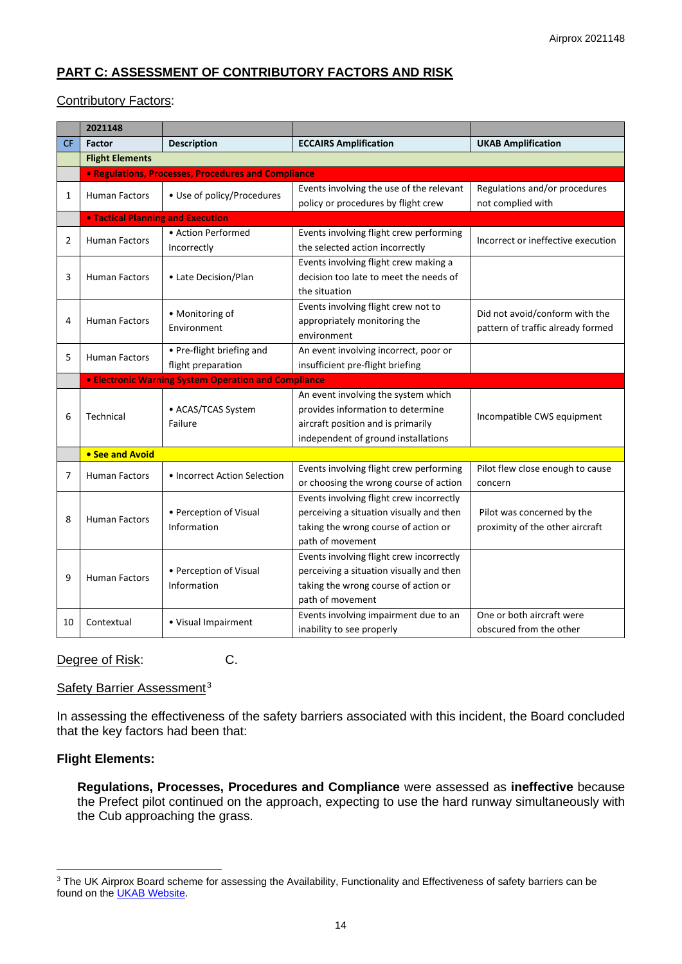# **PART C: ASSESSMENT OF CONTRIBUTORY FACTORS AND RISK**

### Contributory Factors:

|                | 2021148                |                                                             |                                          |                                    |  |  |  |  |  |  |  |  |
|----------------|------------------------|-------------------------------------------------------------|------------------------------------------|------------------------------------|--|--|--|--|--|--|--|--|
| <b>CF</b>      | <b>Factor</b>          | <b>Description</b>                                          | <b>ECCAIRS Amplification</b>             | <b>UKAB Amplification</b>          |  |  |  |  |  |  |  |  |
|                | <b>Flight Elements</b> |                                                             |                                          |                                    |  |  |  |  |  |  |  |  |
|                |                        | • Regulations, Processes, Procedures and Compliance         |                                          |                                    |  |  |  |  |  |  |  |  |
| $\mathbf{1}$   | <b>Human Factors</b>   | • Use of policy/Procedures                                  | Events involving the use of the relevant | Regulations and/or procedures      |  |  |  |  |  |  |  |  |
|                |                        |                                                             | policy or procedures by flight crew      | not complied with                  |  |  |  |  |  |  |  |  |
|                |                        | <b>. Tactical Planning and Execution</b>                    |                                          |                                    |  |  |  |  |  |  |  |  |
| $\overline{2}$ | <b>Human Factors</b>   | • Action Performed                                          | Events involving flight crew performing  | Incorrect or ineffective execution |  |  |  |  |  |  |  |  |
|                |                        | Incorrectly                                                 | the selected action incorrectly          |                                    |  |  |  |  |  |  |  |  |
| 3              | <b>Human Factors</b>   | • Late Decision/Plan                                        | Events involving flight crew making a    |                                    |  |  |  |  |  |  |  |  |
|                |                        |                                                             | decision too late to meet the needs of   |                                    |  |  |  |  |  |  |  |  |
|                |                        |                                                             | the situation                            |                                    |  |  |  |  |  |  |  |  |
| 4              | Human Factors          | • Monitoring of<br>Environment                              | Events involving flight crew not to      | Did not avoid/conform with the     |  |  |  |  |  |  |  |  |
|                |                        |                                                             | appropriately monitoring the             | pattern of traffic already formed  |  |  |  |  |  |  |  |  |
|                |                        |                                                             | environment                              |                                    |  |  |  |  |  |  |  |  |
| 5              | Human Factors          | • Pre-flight briefing and                                   | An event involving incorrect, poor or    |                                    |  |  |  |  |  |  |  |  |
|                |                        | flight preparation                                          | insufficient pre-flight briefing         |                                    |  |  |  |  |  |  |  |  |
|                |                        | <b>• Electronic Warning System Operation and Compliance</b> |                                          |                                    |  |  |  |  |  |  |  |  |
|                |                        |                                                             | An event involving the system which      |                                    |  |  |  |  |  |  |  |  |
|                |                        | • ACAS/TCAS System                                          |                                          |                                    |  |  |  |  |  |  |  |  |
|                |                        |                                                             | provides information to determine        |                                    |  |  |  |  |  |  |  |  |
| 6              | Technical              | Failure                                                     | aircraft position and is primarily       | Incompatible CWS equipment         |  |  |  |  |  |  |  |  |
|                |                        |                                                             | independent of ground installations      |                                    |  |  |  |  |  |  |  |  |
|                | • See and Avoid        |                                                             |                                          |                                    |  |  |  |  |  |  |  |  |
|                |                        |                                                             | Events involving flight crew performing  | Pilot flew close enough to cause   |  |  |  |  |  |  |  |  |
| 7              | <b>Human Factors</b>   | • Incorrect Action Selection                                | or choosing the wrong course of action   | concern                            |  |  |  |  |  |  |  |  |
|                |                        |                                                             | Events involving flight crew incorrectly |                                    |  |  |  |  |  |  |  |  |
|                |                        | • Perception of Visual                                      | perceiving a situation visually and then | Pilot was concerned by the         |  |  |  |  |  |  |  |  |
| 8              | <b>Human Factors</b>   | Information                                                 | taking the wrong course of action or     | proximity of the other aircraft    |  |  |  |  |  |  |  |  |
|                |                        |                                                             | path of movement                         |                                    |  |  |  |  |  |  |  |  |
|                |                        |                                                             | Events involving flight crew incorrectly |                                    |  |  |  |  |  |  |  |  |
|                |                        | • Perception of Visual                                      | perceiving a situation visually and then |                                    |  |  |  |  |  |  |  |  |
| 9              | <b>Human Factors</b>   | Information                                                 | taking the wrong course of action or     |                                    |  |  |  |  |  |  |  |  |
|                |                        |                                                             | path of movement                         |                                    |  |  |  |  |  |  |  |  |
| 10             | Contextual             | • Visual Impairment                                         | Events involving impairment due to an    | One or both aircraft were          |  |  |  |  |  |  |  |  |

Degree of Risk: C.

Safety Barrier Assessment<sup>[3](#page-13-0)</sup>

In assessing the effectiveness of the safety barriers associated with this incident, the Board concluded that the key factors had been that:

# **Flight Elements:**

**Regulations, Processes, Procedures and Compliance** were assessed as **ineffective** because the Prefect pilot continued on the approach, expecting to use the hard runway simultaneously with the Cub approaching the grass.

<span id="page-13-0"></span><sup>&</sup>lt;sup>3</sup> The UK Airprox Board scheme for assessing the Availability, Functionality and Effectiveness of safety barriers can be found on the **UKAB Website**.